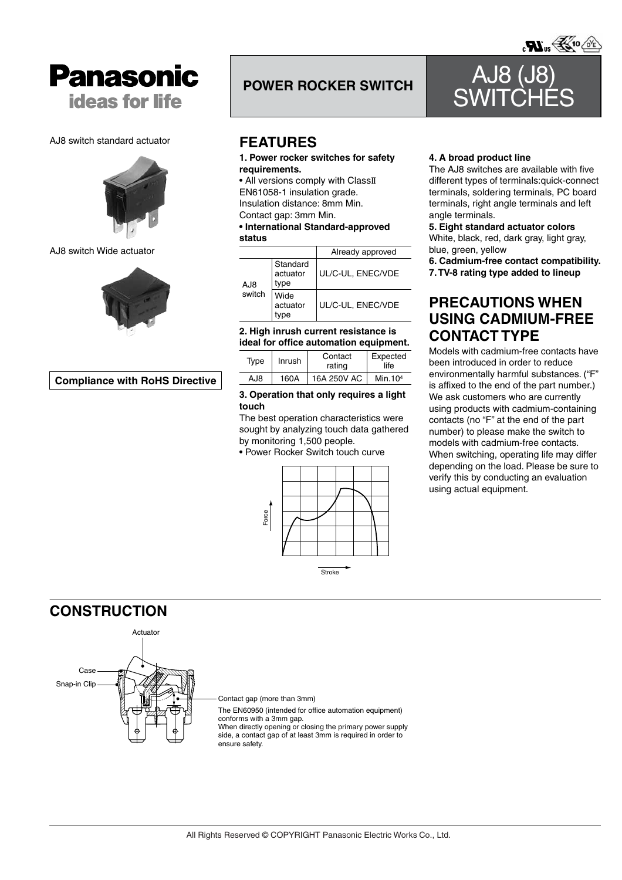

### AJ8 switch standard actuator



# AJ8 switch Wide actuator



# **Compliance with RoHS Directive**

# **POWER ROCKER SWITCH AJ8**

# **FEATURES**

# **1. Power rocker switches for safety requirements.**

• All versions comply with ClassII EN61058-1 insulation grade. Insulation distance: 8mm Min. Contact gap: 3mm Min.

# **• International Standard-approved status**

|        |                              | Already approved  |
|--------|------------------------------|-------------------|
| AJ8    | Standard<br>actuator<br>type | UL/C-UL, ENEC/VDE |
| switch | Wide<br>actuator             | UL/C-UL, ENEC/VDE |

# **2. High inrush current resistance is ideal for office automation equipment.**

| Type | Inrush | Contact<br>rating | Expected<br>life |  |  |
|------|--------|-------------------|------------------|--|--|
| AJ8  | 160A   | 16A 250V AC       | Min.104          |  |  |

# **3. Operation that only requires a light touch**

The best operation characteristics were sought by analyzing touch data gathered by monitoring 1,500 people.

• Power Rocker Switch touch curve



# **4. A broad product line**

The AJ8 switches are available with five different types of terminals:quick-connect terminals, soldering terminals, PC board terminals, right angle terminals and left angle terminals.

**SWITCHES** 

### **5. Eight standard actuator colors**

White, black, red, dark gray, light gray, blue, green, yellow

- **6. Cadmium-free contact compatibility.**
- **7. TV-8 rating type added to lineup**

# **PRECAUTIONS WHEN USING CADMIUM-FREE CONTACT TYPE**

Models with cadmium-free contacts have been introduced in order to reduce environmentally harmful substances. ("F" is affixed to the end of the part number.) We ask customers who are currently using products with cadmium-containing contacts (no "F" at the end of the part number) to please make the switch to models with cadmium-free contacts. When switching, operating life may differ depending on the load. Please be sure to verify this by conducting an evaluation using actual equipment.

# **CONSTRUCTION**



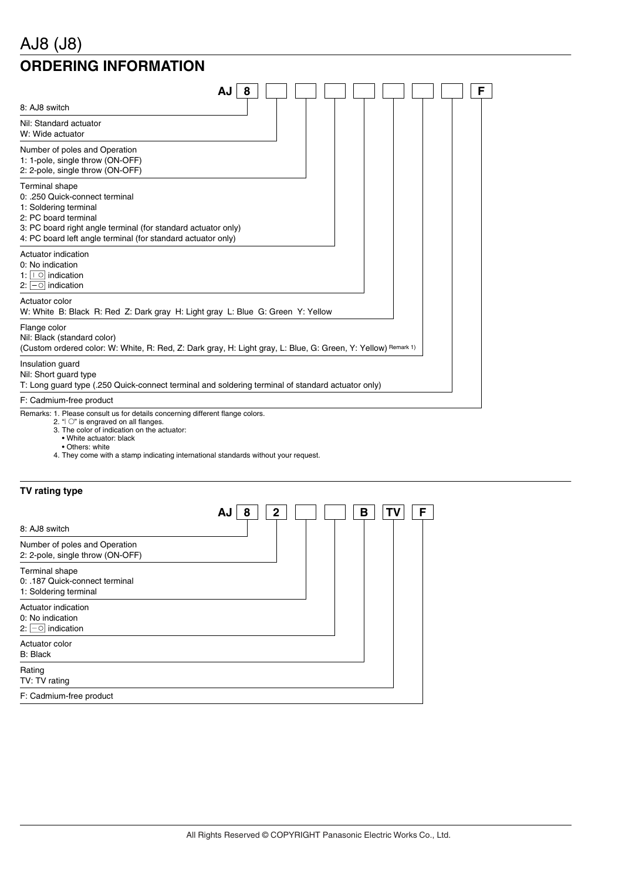# AJ8 (J8)

# **ORDERING INFORMATION**

| AJ                                                                                                                                                                                                                                 | 8 |  |  |  | F |
|------------------------------------------------------------------------------------------------------------------------------------------------------------------------------------------------------------------------------------|---|--|--|--|---|
| 8: AJ8 switch                                                                                                                                                                                                                      |   |  |  |  |   |
| Nil: Standard actuator<br>W: Wide actuator                                                                                                                                                                                         |   |  |  |  |   |
| Number of poles and Operation<br>1: 1-pole, single throw (ON-OFF)<br>2: 2-pole, single throw (ON-OFF)                                                                                                                              |   |  |  |  |   |
| Terminal shape<br>0: .250 Quick-connect terminal<br>1: Soldering terminal<br>2: PC board terminal<br>3: PC board right angle terminal (for standard actuator only)<br>4: PC board left angle terminal (for standard actuator only) |   |  |  |  |   |
| Actuator indication<br>0: No indication<br>1: $\boxed{\circ}$ indication<br>2: $\boxed{-}$ indication                                                                                                                              |   |  |  |  |   |
| Actuator color<br>W: White B: Black R: Red Z: Dark gray H: Light gray L: Blue G: Green Y: Yellow                                                                                                                                   |   |  |  |  |   |
| Flange color<br>Nil: Black (standard color)<br>(Custom ordered color: W: White, R: Red, Z: Dark gray, H: Light gray, L: Blue, G: Green, Y: Yellow) Remark 1)                                                                       |   |  |  |  |   |
| Insulation guard<br>Nil: Short guard type<br>T: Long guard type (.250 Quick-connect terminal and soldering terminal of standard actuator only)                                                                                     |   |  |  |  |   |
| F: Cadmium-free product                                                                                                                                                                                                            |   |  |  |  |   |
| $\sim$ 10 $\sim$ 6 $\sim$ 100 $\sim$ 100 $\sim$ 100 $\sim$ 100 $\sim$ 100 $\sim$ 100 $\sim$ 100 $\sim$ 100 $\sim$ 100 $\sim$<br>$\mathbf{1}$ $\mathbf{2}$ $\mathbf{5}$                                                             |   |  |  |  |   |

Remarks: 1. Please consult us for details concerning different flange colors.

- 2. "I O" is engraved on all flanges. 3. The color of indication on the actuator:
- 
- White actuator: black • Others: white
- 4. They come with a stamp indicating international standards without your request.

|  | TV rating type |  |
|--|----------------|--|
|--|----------------|--|

| 8: AJ8 switch                                                             | $\mathbf{2}$<br>8<br>AJ | в | ΤV | F |
|---------------------------------------------------------------------------|-------------------------|---|----|---|
| Number of poles and Operation<br>2: 2-pole, single throw (ON-OFF)         |                         |   |    |   |
| Terminal shape<br>0: .187 Quick-connect terminal<br>1: Soldering terminal |                         |   |    |   |
| Actuator indication<br>0: No indication<br>2: $\boxed{-}$ indication      |                         |   |    |   |
| Actuator color<br><b>B: Black</b>                                         |                         |   |    |   |
| Rating<br>TV: TV rating                                                   |                         |   |    |   |
| F: Cadmium-free product                                                   |                         |   |    |   |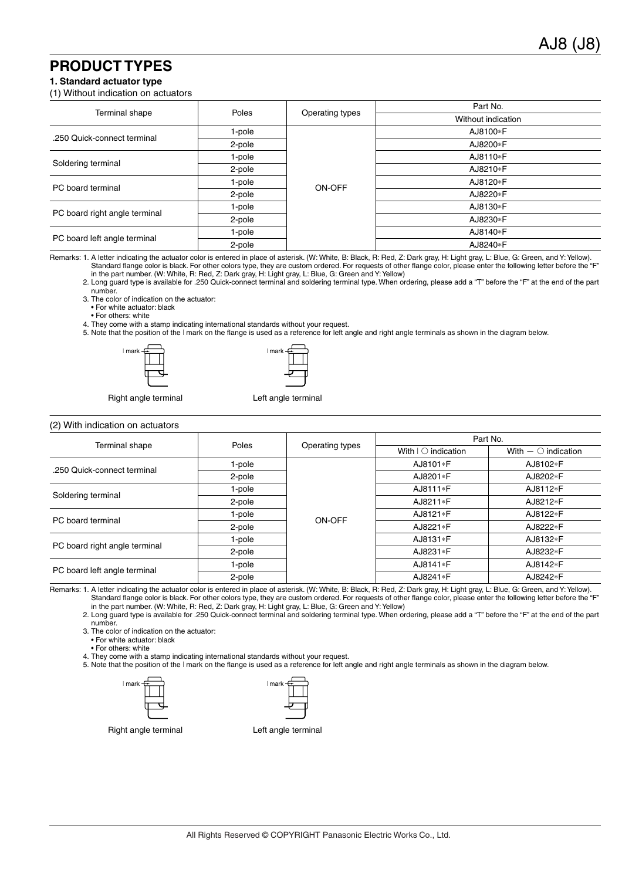# **PRODUCT TYPES**

### **1. Standard actuator type**

### (1) Without indication on actuators

|                               |        |                 | Part No.           |
|-------------------------------|--------|-----------------|--------------------|
| Terminal shape                | Poles  | Operating types | Without indication |
| .250 Quick-connect terminal   | 1-pole |                 | AJ8100*F           |
|                               | 2-pole |                 | AJ8200*F           |
| Soldering terminal            | 1-pole |                 | AJ8110*F           |
|                               | 2-pole |                 | AJ8210*F           |
| PC board terminal             | 1-pole | ON-OFF          | AJ8120*F           |
|                               | 2-pole |                 | AJ8220*F           |
|                               | 1-pole |                 | AJ8130*F           |
| PC board right angle terminal | 2-pole |                 | AJ8230*F           |
|                               | 1-pole |                 | AJ8140*F           |
| PC board left angle terminal  | 2-pole |                 | AJ8240*F           |

Remarks: 1. A letter indicating the actuator color is entered in place of asterisk. (W: White, B: Black, R: Red, Z: Dark gray, H: Light gray, L: Blue, G: Green, and Y: Yellow). Standard flange color is black. For other colors type, they are custom ordered. For requests of other flange color, please enter the following letter before the "F" in the part number. (W: White, R: Red, Z: Dark gray, H: Light gray, L: Blue, G: Green and Y: Yellow)

2. Long guard type is available for .250 Quick-connect terminal and soldering terminal type. When ordering, please add a "T" before the "F" at the end of the part number.

3. The color of indication on the actuator:

• For white actuator: black

• For others: white

4. They come with a stamp indicating international standards without your request.

5. Note that the position of the I mark on the flange is used as a reference for left angle and right angle terminals as shown in the diagram below.





Right angle terminal Left angle terminal

### (2) With indication on actuators

| (2) With indication on actuators | Poles  |                 | Part No.                         |                          |  |
|----------------------------------|--------|-----------------|----------------------------------|--------------------------|--|
| <b>Terminal shape</b>            |        | Operating types | With $\vert \bigcirc$ indication | With $ \circ$ indication |  |
| .250 Quick-connect terminal      | 1-pole |                 | AJ8101*F                         | AJ8102*F                 |  |
|                                  | 2-pole |                 | AJ8201*F                         | AJ8202*F                 |  |
|                                  | 1-pole |                 | AJ8111*F                         | AJ8112*F                 |  |
| Soldering terminal               | 2-pole |                 | AJ8211*F                         | AJ8212*F                 |  |
| PC board terminal                | 1-pole | ON-OFF          | AJ8121*F                         | AJ8122*F                 |  |
|                                  | 2-pole |                 | AJ8221*F                         | AJ8222*F                 |  |
|                                  | 1-pole |                 | AJ8131*F                         | AJ8132*F                 |  |
| PC board right angle terminal    | 2-pole |                 | AJ8231*F                         | AJ8232*F                 |  |
| PC board left angle terminal     | 1-pole |                 | AJ8141*F                         | AJ8142*F                 |  |
|                                  | 2-pole |                 | AJ8241*F                         | AJ8242*F                 |  |

Remarks: 1. A letter indicating the actuator color is entered in place of asterisk. (W: White, B: Black, R: Red, Z: Dark gray, H: Light gray, L: Blue, G: Green, and Y: Yellow). Standard flange color is black. For other colors type, they are custom ordered. For requests of other flange color, please enter the following letter before the "F" in the part number. (W: White, R: Red, Z: Dark gray, H: Light gray, L: Blue, G: Green and Y: Yellow)

2. Long guard type is available for .250 Quick-connect terminal and soldering terminal type. When ordering, please add a "T" before the "F" at the end of the part number.

3. The color of indication on the actuator:

• For white actuator: black

• For others: white

4. They come with a stamp indicating international standards without your request.

5. Note that the position of the I mark on the flange is used as a reference for left angle and right angle terminals as shown in the diagram below.

| ∣mark –⊖ | mark |
|----------|------|
|          |      |
|          |      |
|          |      |

| mark |  |
|------|--|
|      |  |
|      |  |
|      |  |

Right angle terminal Left angle terminal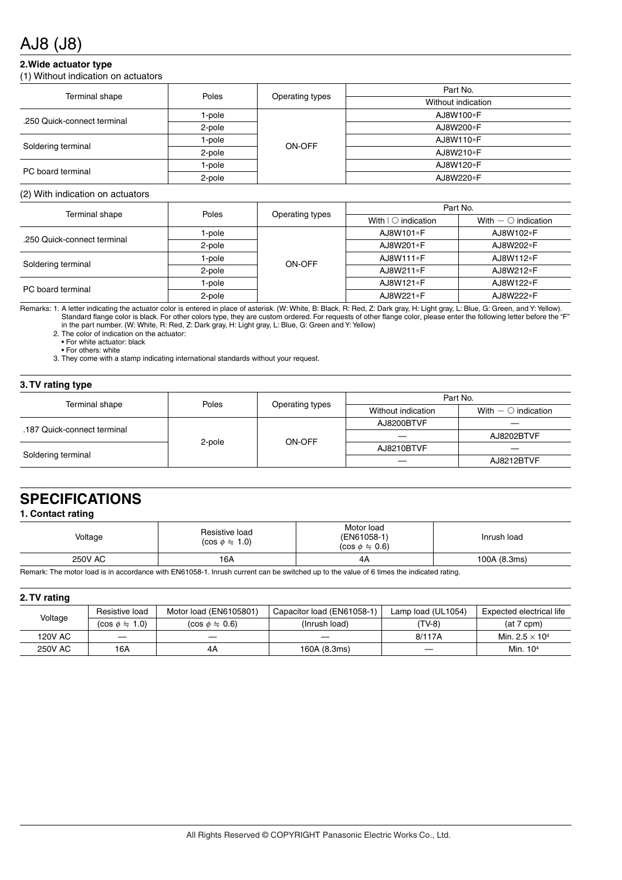# AJ8 (J8)

# **2.Wide actuator type**

(1) Without indication on actuators

| Terminal shape              | Poles  |                 | Part No.           |  |
|-----------------------------|--------|-----------------|--------------------|--|
|                             |        | Operating types | Without indication |  |
| .250 Quick-connect terminal | 1-pole |                 | AJ8W100*F          |  |
|                             | 2-pole |                 | AJ8W200*F          |  |
|                             | 1-pole | ON-OFF          | AJ8W110*F          |  |
| Soldering terminal          | 2-pole |                 | AJ8W210*F          |  |
| PC board terminal           | 1-pole |                 | AJ8W120*F          |  |
|                             | 2-pole |                 | AJ8W220*F          |  |

### (2) With indication on actuators

|                             |        |                 | Part No.                         |                             |  |
|-----------------------------|--------|-----------------|----------------------------------|-----------------------------|--|
| Terminal shape              | Poles  | Operating types | With $\vert \bigcirc$ indication | With $ \bigcirc$ indication |  |
|                             | 1-pole | ON-OFF          | AJ8W101*F                        | AJ8W102*F                   |  |
| .250 Quick-connect terminal | 2-pole |                 | AJ8W201*F                        | AJ8W202*F                   |  |
|                             | 1-pole |                 | AJ8W111*F                        | AJ8W112*F                   |  |
| Soldering terminal          | 2-pole |                 | AJ8W211*F                        | AJ8W212*F                   |  |
| PC board terminal           | 1-pole |                 | AJ8W121*F                        | AJ8W122*F                   |  |
|                             | 2-pole |                 | AJ8W221*F                        | AJ8W222*F                   |  |

Remarks: 1. A letter indicating the actuator color is entered in place of asterisk. (W: White, B: Black, R: Red, Z: Dark gray, H: Light gray, L: Blue, G: Green, and Y: Yellow). Standard flange color is black. For other colors type, they are custom ordered. For requests of other flange color, please enter the following letter before the "F" in the part number. (W: White, R: Red, Z: Dark gray, H: Light gray, L: Blue, G: Green and Y: Yellow)

2. The color of indication on the actuator:

• For white actuator: black • For others: white

3. They come with a stamp indicating international standards without your request.

### **3. TV rating type**

| .      |                 |                    |                          |  |  |
|--------|-----------------|--------------------|--------------------------|--|--|
| Poles  | Operating types | Part No.           |                          |  |  |
|        |                 | Without indication | With $ \circ$ indication |  |  |
| 2-pole | ON-OFF          | AJ8200BTVF         |                          |  |  |
|        |                 |                    | AJ8202BTVF               |  |  |
|        |                 | AJ8210BTVF         |                          |  |  |
|        |                 | _                  | AJ8212BTVF               |  |  |
|        |                 |                    |                          |  |  |

# **SPECIFICATIONS**

# **1. Contact rating**

| Voltage        | Resistive load<br>$(cos \phi = 1.0)$ | Motor load<br>(EN61058-1)<br>$(cos \phi = 0.6)$ | Inrush load  |
|----------------|--------------------------------------|-------------------------------------------------|--------------|
| <b>250V AC</b> | 16A                                  | 4A                                              | 100A (8.3ms) |

Remark: The motor load is in accordance with EN61058-1. Inrush current can be switched up to the value of 6 times the indicated rating.

### **2. TV rating**

| Voltage        | Resistive load     | Motor load (EN6105801) | Capacitor load (EN61058-1) | Lamp load (UL1054) | Expected electrical life          |
|----------------|--------------------|------------------------|----------------------------|--------------------|-----------------------------------|
|                | $(cos \phi = 1.0)$ | $(cos \phi = 0.6)$     | (Inrush load)              | (TV-8)             | $(at 7$ cpm $)$                   |
| 120V AC        |                    | __                     | ___                        | 8/117A             | Min. 2.5 $\times$ 10 <sup>4</sup> |
| <b>250V AC</b> | 16A                | 4A                     | 160A (8.3ms)               | ___                | Min. 10 <sup>4</sup>              |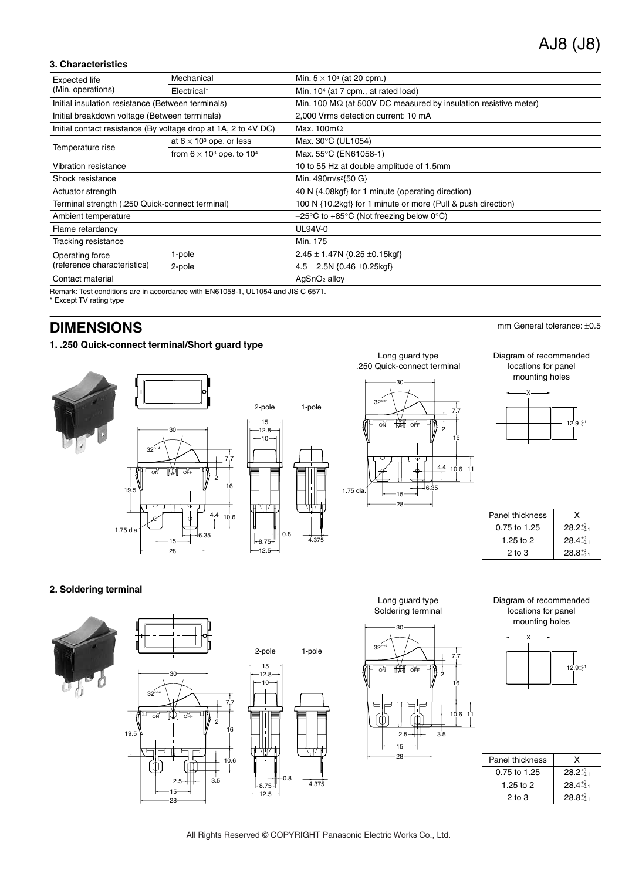# **3. Characteristics**

| <b>Expected life</b>                                           | Mechanical                                                                      | Min. $5 \times 10^4$ (at 20 cpm.)                                             |  |  |
|----------------------------------------------------------------|---------------------------------------------------------------------------------|-------------------------------------------------------------------------------|--|--|
| (Min. operations)                                              | Electrical*                                                                     | Min. 10 <sup>4</sup> (at 7 cpm., at rated load)                               |  |  |
| Initial insulation resistance (Between terminals)              |                                                                                 | Min. 100 $\text{M}\Omega$ (at 500V DC measured by insulation resistive meter) |  |  |
| Initial breakdown voltage (Between terminals)                  |                                                                                 | 2,000 Vrms detection current: 10 mA                                           |  |  |
| Initial contact resistance (By voltage drop at 1A, 2 to 4V DC) |                                                                                 | Max. 100m $\Omega$                                                            |  |  |
| Temperature rise                                               | at $6 \times 10^3$ ope. or less                                                 | Max. 30°C (UL1054)                                                            |  |  |
|                                                                | from $6 \times 10^3$ ope. to $10^4$                                             | Max. 55°C (EN61058-1)                                                         |  |  |
| Vibration resistance                                           |                                                                                 | 10 to 55 Hz at double amplitude of 1.5mm                                      |  |  |
| Shock resistance                                               |                                                                                 | Min. 490m/s <sup>2</sup> {50 G}                                               |  |  |
| Actuator strength                                              |                                                                                 | 40 N {4.08kgf} for 1 minute (operating direction)                             |  |  |
| Terminal strength (.250 Quick-connect terminal)                |                                                                                 | 100 N {10.2kgf} for 1 minute or more (Pull & push direction)                  |  |  |
| Ambient temperature                                            |                                                                                 | $-25^{\circ}$ C to +85 $^{\circ}$ C (Not freezing below 0 $^{\circ}$ C)       |  |  |
| Flame retardancy                                               |                                                                                 | UL94V-0                                                                       |  |  |
| Tracking resistance                                            |                                                                                 | Min. 175                                                                      |  |  |
| Operating force<br>(reference characteristics)                 | 1-pole                                                                          | $2.45 \pm 1.47N$ {0.25 $\pm$ 0.15kgf}                                         |  |  |
|                                                                | 2-pole                                                                          | $4.5 \pm 2.5N$ {0.46 $\pm$ 0.25kgf}                                           |  |  |
| Contact material                                               |                                                                                 | AgSnO <sub>2</sub> alloy                                                      |  |  |
|                                                                | Remark: Test conditions are in accordance with EN61058-1 1111054 and JIS C 6571 |                                                                               |  |  |

EN61058-1, UL1054 and JIS C 6571.

**Hernark: lest conditions**<br>\* Except TV rating type

# **DIMENSIONS** mm General tolerance:  $\pm 0.5$

# **1. .250 Quick-connect terminal/Short guard type**



# **2. Soldering terminal**



Long guard type

16

2

10.6 11

7.7





| Panel thickness | x                             |
|-----------------|-------------------------------|
| 0.75 to 1.25    | $28.2^{+0.1}$                 |
| 1.25 to 2       | $28.4\substack{+0.1 \\ -0.1}$ |
| $2$ to $3$      | $28.8\substack{+0.1 \\ -0.1}$ |

# All Rights Reserved © COPYRIGHT Panasonic Electric Works Co., Ltd.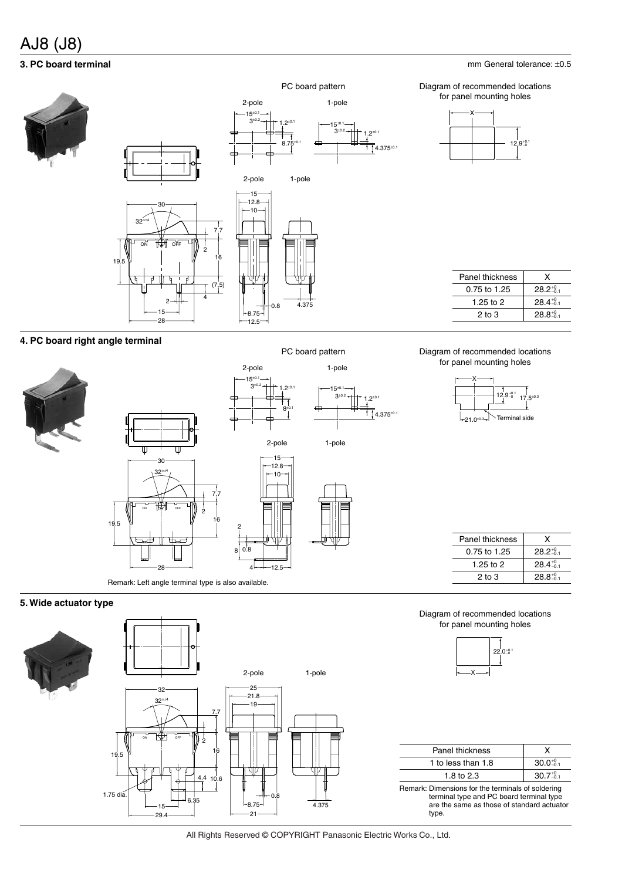# AJ8 (J8)

# **3. PC board terminal**

### ON **INA** OFF 30 15 2-pole 1-pole 12.8  $-10$ 19.5  $\sqrt{10}$  16 7.7  $\mathcal{C}$ 12.5 4.375  $-8.75-$ 0.8 28 15 2 2 4 32°±<sup>4</sup> PC board pattern 15<sup>±</sup>0.1  $8.75^{\scriptscriptstyle \pm 0.1}$  $3^{+0.2}$  1.2<sup>±0.1</sup> 1.2<sup>±0.1</sup> 15<sup>±0.1</sup>  $3+0.2$ :<br>1. גדבי ∧ 2-pole 1-pole

mm General tolerance: ±0.5

Diagram of recommended locations for panel mounting holes



| Panel thickness | x                  |
|-----------------|--------------------|
| 0.75 to 1.25    | $28.2^{+0}_{-0.1}$ |
| 1.25 to 2       | $28.4^{+0}_{-0.1}$ |
| $2$ to $3$      | $28.8^{+0}_{-0.1}$ |
|                 |                    |

# **4. PC board right angle terminal**





Remark: Left angle terminal type is also available.

# PC board pattern

 $8^{\pm 0.1}$ 



### Diagram of recommended locations for panel mounting holes



| Panel thickness | x                  |
|-----------------|--------------------|
| 0.75 to 1.25    | $28.2^{+0.1}$      |
| 1.25 to 2       | $28.4^{+0}_{-0.1}$ |
| $2$ to $3$      | $28.8^{+0}_{-0.1}$ |

# **5. Wide actuator type**



All Rights Reserved © COPYRIGHT Panasonic Electric Works Co., Ltd.